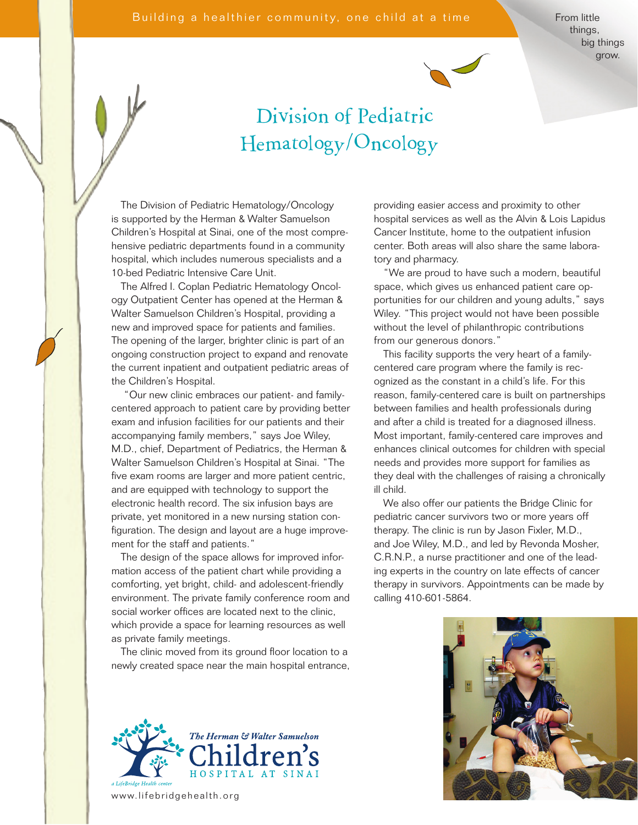From little things, big things grow.



## Division of Pediatric Hematology/Oncology

The Division of Pediatric Hematology/Oncology is supported by the Herman & Walter Samuelson Children's Hospital at Sinai, one of the most comprehensive pediatric departments found in a community hospital, which includes numerous specialists and a 10-bed Pediatric Intensive Care Unit.

The Alfred I. Coplan Pediatric Hematology Oncology Outpatient Center has opened at the Herman & Walter Samuelson Children's Hospital, providing a new and improved space for patients and families. The opening of the larger, brighter clinic is part of an ongoing construction project to expand and renovate the current inpatient and outpatient pediatric areas of the Children's Hospital.

 "Our new clinic embraces our patient- and familycentered approach to patient care by providing better exam and infusion facilities for our patients and their accompanying family members," says Joe Wiley, M.D., chief, Department of Pediatrics, the Herman & Walter Samuelson Children's Hospital at Sinai. "The five exam rooms are larger and more patient centric, and are equipped with technology to support the electronic health record. The six infusion bays are private, yet monitored in a new nursing station configuration. The design and layout are a huge improvement for the staff and patients."

The design of the space allows for improved information access of the patient chart while providing a comforting, yet bright, child- and adolescent-friendly environment. The private family conference room and social worker offices are located next to the clinic, which provide a space for learning resources as well as private family meetings.

The clinic moved from its ground floor location to a newly created space near the main hospital entrance,



www.lifebridgehealth.org

providing easier access and proximity to other hospital services as well as the Alvin & Lois Lapidus Cancer Institute, home to the outpatient infusion center. Both areas will also share the same laboratory and pharmacy.

"We are proud to have such a modern, beautiful space, which gives us enhanced patient care opportunities for our children and young adults," says Wiley. "This project would not have been possible without the level of philanthropic contributions from our generous donors."

This facility supports the very heart of a familycentered care program where the family is recognized as the constant in a child's life. For this reason, family-centered care is built on partnerships between families and health professionals during and after a child is treated for a diagnosed illness. Most important, family-centered care improves and enhances clinical outcomes for children with special needs and provides more support for families as they deal with the challenges of raising a chronically ill child.

We also offer our patients the Bridge Clinic for pediatric cancer survivors two or more years off therapy. The clinic is run by Jason Fixler, M.D., and Joe Wiley, M.D., and led by Revonda Mosher, C.R.N.P., a nurse practitioner and one of the leading experts in the country on late effects of cancer therapy in survivors. Appointments can be made by calling 410-601-5864.